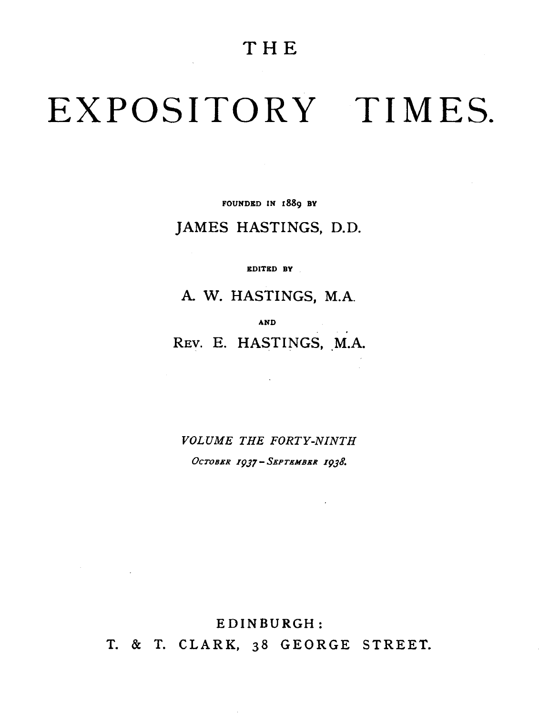### **THE**

# EXPOSITORY TIMES.

FOUNDED IN 1889 BY

#### JAMES HASTINGS, D.D.

EDITED BY

A. W. HASTINGS, M.A.

AND

REV. E. HASTINGS, M.A.

*VOLUME THE FORTY-NINTH*  OcTOBER *I9J7-* SEPTEMBER *I9J8.* 

EDINBURGH:

 $\label{eq:2.1} \frac{1}{2} \sum_{i=1}^n \frac{1}{2} \sum_{j=1}^n \frac{1}{2} \sum_{j=1}^n \frac{1}{2} \sum_{j=1}^n \frac{1}{2} \sum_{j=1}^n \frac{1}{2} \sum_{j=1}^n \frac{1}{2} \sum_{j=1}^n \frac{1}{2} \sum_{j=1}^n \frac{1}{2} \sum_{j=1}^n \frac{1}{2} \sum_{j=1}^n \frac{1}{2} \sum_{j=1}^n \frac{1}{2} \sum_{j=1}^n \frac{1}{2} \sum_{j=1}^n \frac{$ 

T. & T. CLARK, 38 GEORGE STREET.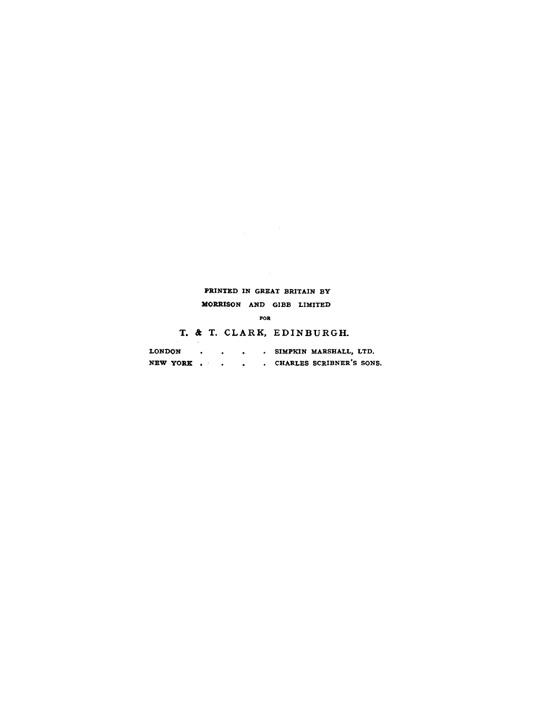#### PRINTED IN GREAT BRITAIN BY

MORRISON AND GIBB LIMITED

FOR

T. & T. CLARK, EDINBURGH.

| <b>LONDON</b> |  |  | SIMPKIN MARSHALL, LTD.   |
|---------------|--|--|--------------------------|
| NEW YORK.     |  |  | CHARLES SCRIBNER'S SONS. |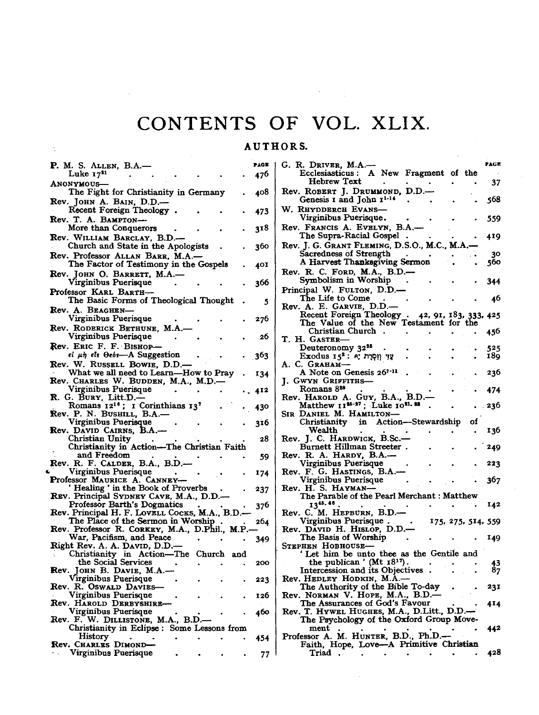## **CONTENTS OF VOL.** XLIX.

 $\mathcal{F}^{\text{max}}_{\text{max}}$ 

#### AUTHORS.

| <b>P.</b> M. S. ALLEN, B.A.–                                                    | PAGE |
|---------------------------------------------------------------------------------|------|
| Luke $17^{21}$                                                                  | 476  |
| <b>ANONYMOUS-</b>                                                               |      |
| The Fight for Christianity in Germany                                           | 408  |
| Rev. JOHN A. BAIN, D.D.-                                                        |      |
| Recent Foreign Theology.                                                        |      |
| Rev. T. A. BAMPTON-                                                             | 473  |
|                                                                                 |      |
| More than Conquerors                                                            | 318  |
| Rev. WILLIAM BARCLAY, B.D.-                                                     |      |
| Church and State in the Apologists                                              | 360  |
| Rev. Professor ALLAN BARR, M.A.-                                                |      |
| The Factor of Testimony in the Gospels                                          | 401  |
| Rev. JOHN O. BARRETT, M.A.-                                                     |      |
| Virginibus Puerisque                                                            | 366  |
| Professor KARL BARTH-                                                           |      |
| The Basic Forms of Theological Thought                                          | 5    |
| Rev. A. BEAGHEN-                                                                |      |
| Virginibus Puerisque                                                            | 276  |
| Rev. RODERICK BETHUNE, M.A.                                                     |      |
|                                                                                 |      |
| Virginibus Puerisque                                                            | -26  |
| Rev. ERIC F. F. BISHOP                                                          |      |
| $\epsilon l$ $\mu \eta$ $\epsilon l$ s $\theta \epsilon \delta s$ —A Suggestion | 363  |
| Rev. W. RUSSELL BOWIE, D.D.-                                                    |      |
| What we all need to Learn-How to Pray                                           | 134  |
|                                                                                 |      |
| Rev. CHARLES W. BUDDEN, M.A., M.D.-<br>Virginibus Puerisque                     | 412  |
| R. G. BURY, Litt.D.—<br>Romans 12 <sup>16</sup> ; I Corinthians 13 <sup>7</sup> |      |
|                                                                                 | 430  |
| Rev. P. N. BUSHILL, B.A.                                                        |      |
| Virginibus Puerisque                                                            | 316  |
| Rev. David Cairns, B.A.-                                                        |      |
| Christian Unity                                                                 | 28   |
| Christianity in Action-The Christian Faith                                      |      |
| and Freedom                                                                     | 59   |
| Rev. R. F. CALDER, B.A., B.D.—                                                  |      |
| Virginibus Puerisque                                                            | 174  |
| Professor MAURICE A. CANNEY-                                                    |      |
| Healing ' in the Book of Proverbs                                               | 237  |
| REV. Principal SYDNEY CAVE, M.A., D.D.-                                         |      |
| Professor Barth's Dogmatics                                                     | 376  |
| Rev. Principal H. F. LovELL Cocks, M.A., B.D.-                                  |      |
| The Place of the Sermon in Worship                                              | 264  |
| Rev. Professor R. CORKEY, M.A., D.Phil., M.P.                                   |      |
| War, Pacifism, and Peace                                                        |      |
| Right Rev. A. A. David, D.D.-                                                   | 349  |
| Christianity in Action-The Church and                                           |      |
| the Social Services                                                             | 200  |
| JOHN B. DAVIE, M.A.-                                                            |      |
|                                                                                 |      |
| Rev. R. OSWALD DAVIES-                                                          | 223  |
|                                                                                 |      |
| Virginibus Puerisque<br>Rev. HAROLD DERBYSHIRE-                                 | 126  |
|                                                                                 |      |
| Virginibus Puerisque                                                            | 460  |
| Rev. F. W. DILLISTONE, M.A., B.D.                                               |      |
| Christianity in Eclipse : Some Lessons from                                     |      |
| History                                                                         | 454  |
| Rev. CHARLES DIMOND-                                                            |      |
| Virginibus Puerisque                                                            | 77   |

ċ,

| G. R. Driver, M.A.—                                                                       |                    |  | PAGE            |
|-------------------------------------------------------------------------------------------|--------------------|--|-----------------|
| Ecclesiasticus: A New Fragment of the                                                     |                    |  |                 |
| Hebrew Text<br>Rev. ROBERT J. DRUMMOND, D.D.-                                             |                    |  | 37              |
| Genesis I and John I <sup>1-14</sup>                                                      |                    |  | 568             |
| W. RHYDDERCH EVANS-<br>Virginibus Puerisque.                                              |                    |  | 559             |
| Rev. Francis A. Evelyn, B.A.-                                                             |                    |  |                 |
| The Supra-Racial Gospel<br>Rev. J. G. GRANT FLEMING, D.S.O., M.C., M.A.-                  |                    |  | 419             |
| Sacredness of Strength                                                                    |                    |  | 30              |
| A Harvest Thanksgiving Sermon                                                             |                    |  |                 |
|                                                                                           |                    |  | 560             |
| Rev. R. C. FORD, M.A., B.D.-                                                              |                    |  |                 |
| Symbolism in Worship                                                                      |                    |  | 344             |
| Principal W. FULTON, D.D.-                                                                |                    |  |                 |
| The Life to Come                                                                          |                    |  | 46              |
| Rev. A. E. GARVIE, D.D.-                                                                  |                    |  |                 |
|                                                                                           |                    |  |                 |
| Recent Foreign Theology 42, 91, 183, 333, 425<br>The Value of the New Testament for the   |                    |  |                 |
| Christian Church<br>٠.                                                                    |                    |  | 456             |
| T. H. Gaster–                                                                             |                    |  |                 |
| Deuteronomy 32 <sup>25</sup>                                                              |                    |  | 525             |
| Exodus 15 <sup>2</sup> : אִוּ וְוִמְרָת יָ                                                |                    |  | 189             |
| А. С. Сканам—                                                                             |                    |  |                 |
| A Note on Genesis 26 <sup>7-11</sup>                                                      |                    |  | 236             |
| J. GWYN GRIFFITHS-                                                                        |                    |  |                 |
| Romans 828                                                                                |                    |  | 474             |
| Rev. HAROLD A. GUY, B.A., B.D.<br>Matthew 11 <sup>25-27</sup> ; Luke 10 <sup>21, 23</sup> |                    |  | 236             |
| SIR DANIEL M. HAMILTON-                                                                   |                    |  |                 |
| Christianity in Action—Stewardship of                                                     |                    |  |                 |
| Wealth                                                                                    |                    |  | 136             |
| Rev. J. C. HARDWICK, B.Sc.                                                                |                    |  |                 |
| Burnett Hillman Streeter.                                                                 |                    |  | 249             |
| Rev. R. A. HARDY, B.A.-                                                                   |                    |  |                 |
| Virginibus Puerisque                                                                      |                    |  | 223             |
| Rev. F. G. HASTINGS, B.A.-                                                                |                    |  |                 |
| Virginibus Puerisque                                                                      |                    |  | 367             |
| Rev. H. S. HAYMAN-                                                                        |                    |  |                 |
| The Parable of the Pearl Merchant : Matthew                                               |                    |  |                 |
| 1345.46.                                                                                  |                    |  | 142             |
| Rev. C. M. HEPBURN, B.D.-                                                                 |                    |  |                 |
| Virginibus Puerisque.                                                                     | 175, 275, 514, 559 |  |                 |
| Rev. David H. Hislop, D.D.-                                                               |                    |  |                 |
| The Basis of Worship                                                                      |                    |  | 149             |
| STEPHEN HOBHOUSE-                                                                         |                    |  |                 |
| Let him be unto thee as the Gentile and                                                   |                    |  |                 |
| the publican ' (Mt $18^{17}$ ).                                                           |                    |  |                 |
| Intercession and its Objectives                                                           |                    |  | $\frac{43}{87}$ |
| Rev. HEDLEY HODKIN, M.A.-                                                                 |                    |  |                 |
| The Authority of the Bible To-day                                                         |                    |  | 231             |
| Rev. NORMAN V. HOPE, M.A., B.D.-                                                          |                    |  |                 |
| The Assurances of God's Favour                                                            |                    |  | 414             |
| Rev. T. HYWEL HUGHES, M.A., D.Litt., D.D.-                                                |                    |  |                 |
| The Psychology of the Oxford Group Move-                                                  |                    |  |                 |
| ment                                                                                      |                    |  | 442             |
| Professor A. M. HUNTER, B.D., Ph.D.-                                                      |                    |  |                 |
| Faith, Hope, Love-A Primitive Christian                                                   |                    |  |                 |
| Tris                                                                                      |                    |  | 42.R            |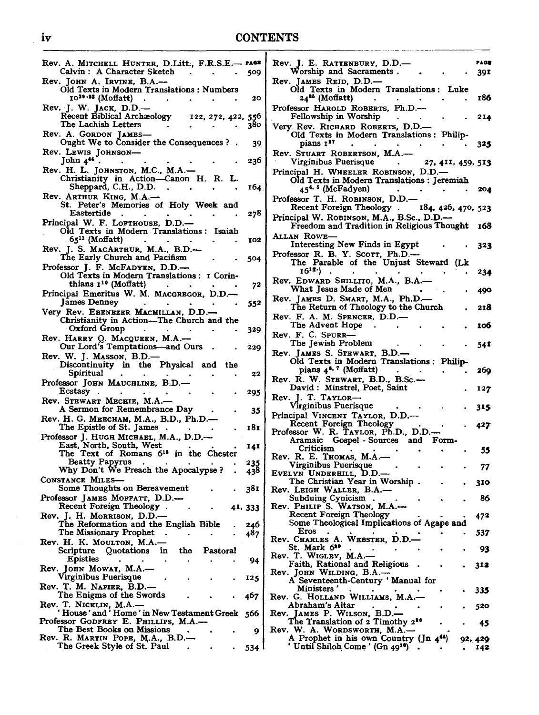#### iv CONTENTS

| Rev. A. MITCHELL HUNTER, D.Litt., F.R.S.E.— PAGE<br>Calvin : A Character Sketch<br>$\sim$<br>$\bullet$    |     |
|-----------------------------------------------------------------------------------------------------------|-----|
|                                                                                                           |     |
|                                                                                                           | 509 |
| Rev. JOHN A. IRVINE, B.A.-                                                                                |     |
| Old Texts in Modern Translations: Numbers<br>$10^{20-12}$ (Moffatt).<br>$\bullet$                         | 20  |
| Rev. J. W. JACK, D.D.-                                                                                    |     |
| Recent Biblical Archaeology<br>122, 272, 422, 556                                                         |     |
| The Lachish Letters                                                                                       | 380 |
| Rev. A. GORDON JAMES-                                                                                     |     |
| Ought We to Consider the Consequences ?                                                                   | 39  |
| Rev. LEWIS JOHNSON-                                                                                       |     |
| John 444<br>$\ddot{\phantom{0}}$                                                                          | 236 |
| Rev. H. L. JOHNSTON, M.C., M.A.-                                                                          |     |
| Christianity in Action-Canon H. R. L.                                                                     |     |
| Sheppard, C.H., D.D.<br>$\blacksquare$ .                                                                  | 164 |
| Rev. ARTHUR KING, M.A.-                                                                                   |     |
| St. Peter's Memories of Holy Week and                                                                     |     |
| Eastertide.<br>$\sim$<br>$\bullet$                                                                        | 278 |
| Principal W. F. LOFTHOUSE, D.D.-                                                                          |     |
| Old Texts in Modern Translations: Isaiah                                                                  |     |
| $-65$ <sup>11</sup> (Moffatt)                                                                             | 102 |
| Rev. J. S. MACARTHUR, M.A., B.D.-                                                                         |     |
| The Early Church and Pacifism<br>Professor J. F. McFADYEN, D.D.-                                          | 504 |
| Old Texts in Modern Translations: I Corin-                                                                |     |
| thians $I^{10}$ (Moffatt)                                                                                 | 72  |
| Principal Emeritus W. M. MACGREGOR, D.D.-                                                                 |     |
| <b>James Denney</b><br>$\bullet$<br>$\sim$                                                                | 552 |
| Very Rev. EBENEZER MACMILLAN, D.D.-                                                                       |     |
| Christianity in Action—The Church and the                                                                 |     |
| Oxford Group                                                                                              | 329 |
| Rev. HARRY Q. MACQUEEN, M.A.-                                                                             |     |
|                                                                                                           |     |
| Our Lord's Temptations—and Ours                                                                           | 229 |
|                                                                                                           |     |
| Rev. W. J. MASSON, B.D.-                                                                                  |     |
| Discontinuity in the Physical and the<br>Spiritual                                                        | 22  |
| Professor JOHN MAUCHLINE, B.D.-                                                                           |     |
| Ecstasy.<br>$\blacksquare$                                                                                | 295 |
| Rev. STEWART MECHIE, M.A.-                                                                                |     |
| A Sermon for Remembrance Day                                                                              | 35  |
| Rev. Н. G. Мевснам, M.A., B.D., Ph.D.-                                                                    |     |
| The Epistle of St. James.                                                                                 | 181 |
| Professor J. HUGH MICHAEL, M.A., D.D.-                                                                    |     |
|                                                                                                           | 141 |
| East, North, South, West<br>The Text of Romans 6 <sup>13</sup> in the Chester                             |     |
| Beatty Papyrus                                                                                            | 235 |
| Why Don't We Preach the Apocalypse?                                                                       | 438 |
|                                                                                                           |     |
| Some Thoughts on Bereavement                                                                              | 381 |
| CONSTANCE MILES-<br>Professor James Moffatt, D.D.—                                                        |     |
| Recent Foreign Theology.<br>41, 333                                                                       |     |
| The Reformation and the English Bible                                                                     | 246 |
|                                                                                                           | 487 |
| The Missionary Prophet                                                                                    |     |
| Scripture<br>Quotations<br>in<br>the<br>Pastoral                                                          |     |
| Epistles                                                                                                  | 94  |
|                                                                                                           |     |
| Rev. J. H. MORRISON, D.D.-<br>Rev. H. K. Moulton, M.A.–<br>Rev. JOHN MOWAT, M.A.-<br>Virginibus Puerisque | 125 |
| Rev. T. M. NAPIER, B.D.---                                                                                |     |
| The Enigma of the Swords                                                                                  | 467 |
|                                                                                                           |     |
|                                                                                                           | 566 |
| Rev. T. NICKLIN, M.A.—<br>'House'and'Home'in New Testament Greek<br>Professor GODFREY E. PHILLIPS, M.A.-  |     |
| The Best Books on Missions<br>Rev. R. Martin Pope, M.A., B.D.—                                            | 9   |

| Rev. J. E. RATTENBURY, D.D.-                                                                                          | 204ء          |
|-----------------------------------------------------------------------------------------------------------------------|---------------|
| Worship and Sacraments.<br>Rev. JAMES REID, D.D.—<br>Old Texts in Modern Translations: Luke                           | 39 I          |
| 24 <sup>35</sup> (Moffatt)<br>$\sim 100$ km s $^{-1}$                                                                 | 186           |
| Professor HAROLD ROBERTS, Ph.D.-<br>Fellowship in Worship                                                             | 214           |
| Very Rev. Richard Roberts, D.D.—<br>Old Texts in Modern Translations: Philip-                                         |               |
| pians 1 <sup>27</sup>                                                                                                 | 325           |
| Rev. STUART ROBERTSON, M.A.-<br>Virginibus Puerisque .<br>27, 411, 459, 513                                           |               |
| Principal H. WHEELER ROBINSON, D.D.-<br>Old Texts in Modern Translations : Jeremiah                                   |               |
| 45 <sup>4, 5</sup> (McFadyen)<br>Professor T. H. ROBINSON, D.D.-                                                      | 204           |
| Recent Foreign Theology . 184, 426, 470, 523<br>Principal W. ROBINSON, M.A., B.Sc., D.D.-                             |               |
| Freedom and Tradition in Religious Thought<br>Allan Rowe-                                                             | 168           |
| Interesting New Finds in Egypt                                                                                        | 323           |
| Professor R. B. Y. SCOTT, Ph.D.-<br>The Parable of the Unjust Steward (Lk                                             |               |
| $16^{10}$<br>Rev. EDWARD SHILLITO, M.A., B.A.-                                                                        | 234           |
| What Jesus Made of Men<br>Rev. James D. Smart, M.A., Ph.D.—                                                           | 490           |
| The Return of Theology to the Church<br>Rev. F. A. M. SPENCER, D.D.-                                                  | 218           |
| The Advent Hope                                                                                                       | 106           |
| Rev. F. C. SPURR-<br>The Jewish Problem                                                                               | 541           |
| Rev. JAMES S. STEWART, B.D.-                                                                                          |               |
|                                                                                                                       |               |
| Old Texts in Modern Translations: Philip-<br>pians 4 <sup>6.</sup> 7 (Moffatt)                                        | 269           |
| Rev. R. W. STEWART, B.D., B.Sc.-<br>David: Minstrel, Poet, Saint                                                      | 127           |
| Rev. J. T. TAYLOR-<br>Virginibus Puerisque                                                                            | 315           |
| Principal VINCENT TAYLOR, D.D.-<br>Recent Foreign Theology                                                            | 427           |
| Professor W. R. TAYLOR, Ph.D., D.D.<br>Aramaic Gospel - Sources and<br>Form-                                          |               |
| Criticism                                                                                                             | 55            |
| Rev. R. E. THOMAS, M.A.-<br>Virginibus Puerisque                                                                      | 77            |
| EVELYN UNDERHILL, D.D.-<br>The Christian Year in Worship.                                                             | 310           |
| Rev. LEIGH WALLER, B.A.-<br>Subduing Cynicism.                                                                        | 86            |
| Rev. PHILIP S. WATSON, M.A.-<br>Recent Foreign Theology                                                               | 472           |
| Some Theological Implications of Agape and<br>Eros<br>$\sim$                                                          | 537           |
| Rev. CHARLES A. WEBSTER, D.D.-<br>St. Mark 620                                                                        | 93            |
| Rev. T. WIGLEY, M.A.-<br>Faith, Rational and Religious                                                                | 312           |
| Rev. JOHN WILDING, B.A.-<br>A Seventeenth-Century 'Manual for                                                         |               |
| Ministers'                                                                                                            | 335           |
| Rev. G. HOLLAND WILLIAMS, M.A.-<br>Abraham's Altar<br>Rev. JAMES P. WILSON, B.D.-                                     | 520           |
| The Translation of 2 Timothy 2 <sup>16</sup><br>Rev. W. A. WORDSWORTH, M.A.-<br>A Prophet in his own Country (Jn 444) | 45<br>92, 429 |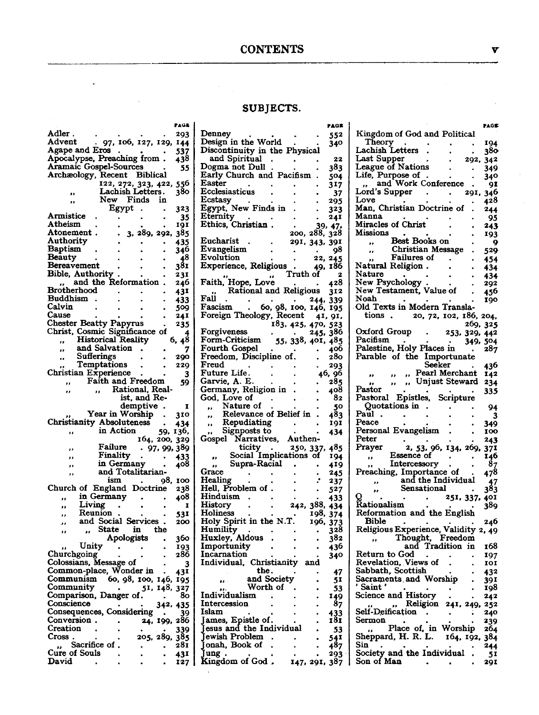#### **CONTENTS**

#### SUBJECTS.

|                                                                  |                                   |                                         |         | PAGE       |
|------------------------------------------------------------------|-----------------------------------|-----------------------------------------|---------|------------|
| . Adler                                                          |                                   |                                         |         | 293        |
| Advent                                                           |                                   | 97, 106, 127, 129,                      |         | 144        |
| Agape and Eros                                                   |                                   |                                         |         |            |
| Apocalypse, Preaching from                                       |                                   |                                         |         | 537<br>438 |
| Aramaic Gospel-Sources                                           |                                   |                                         |         | 55         |
| Archæology, Recent                                               |                                   | <b>Biblical</b>                         |         |            |
|                                                                  |                                   |                                         |         | 556        |
|                                                                  |                                   | 122, 272, 323, 422,<br>Lachish Letters. |         | 380        |
| .,                                                               | New                               | Finds                                   | in      |            |
|                                                                  | Egypt                             |                                         |         | 323        |
| Armistice                                                        |                                   |                                         |         | 35         |
| Atheism                                                          |                                   |                                         |         | 191        |
| Atonement                                                        |                                   | 3, 289, 292,                            |         | 385        |
| Authority                                                        |                                   |                                         |         | 435        |
| Baptism                                                          |                                   |                                         |         | 346        |
| Beauty                                                           |                                   |                                         |         |            |
| Bereavement                                                      |                                   |                                         |         | 48<br>381  |
| Bible, Authority                                                 |                                   |                                         |         | 231        |
|                                                                  | and the Reformation               |                                         |         | 246        |
| Brotherhood                                                      |                                   |                                         |         | 43I        |
| Buddhism                                                         |                                   |                                         |         | 433        |
| Calvin                                                           |                                   |                                         |         | 509        |
| Cause                                                            |                                   |                                         |         | 241        |
| Chester Beatty Papyrus<br>Christ, Cosmic Significance of         |                                   |                                         |         | 235        |
|                                                                  |                                   |                                         |         | 4          |
| ,,                                                               | <b>Historical Reality</b>         |                                         |         | 6, 48      |
| ,,                                                               | and Salvation                     |                                         |         | 7          |
| ,,                                                               | Sufferings                        |                                         |         | 290        |
|                                                                  | Temptations                       |                                         |         | 229        |
| Christian Experience                                             |                                   |                                         |         | 3          |
| ,,                                                               | Faith and Freedom                 |                                         |         | 59         |
| ,,                                                               | ,,                                | Rational, Real-<br>ist, and Re-         |         |            |
|                                                                  |                                   |                                         |         |            |
|                                                                  |                                   | demptive                                |         | I          |
|                                                                  | Year in Worship                   |                                         |         | 310        |
| Christianity Absoluteness                                        |                                   |                                         |         | 434        |
| ,,                                                               | in Action                         |                                         | 59,     | 136,       |
|                                                                  |                                   | 164, 200, 329                           |         |            |
|                                                                  | <b>Failure</b>                    |                                         | 97, 99, | 389        |
|                                                                  | Finality                          |                                         |         | 433        |
|                                                                  | in Germany .<br>and Totalitarian- |                                         |         | 408        |
|                                                                  |                                   |                                         |         |            |
|                                                                  | ism                               |                                         | 98,     | 100        |
| Church of                                                        | England                           | Doctrine                                |         | 238        |
|                                                                  | in Germany                        |                                         |         | 408        |
| Living<br>.,                                                     |                                   |                                         |         | 1          |
| Reunion                                                          |                                   |                                         |         | 531        |
| and<br>ر ر                                                       | Social                            | Services                                |         | 200        |
| ,,                                                               | State                             | in                                      | the     |            |
|                                                                  |                                   | Apologists                              |         | 360        |
| Unity                                                            |                                   |                                         |         | 193        |
| Churchgoing                                                      |                                   |                                         |         | 286        |
| Colossians,<br>Colossians, Message of<br>Common-place, Wonder in |                                   |                                         |         |            |
|                                                                  |                                   |                                         |         | 431        |
| Communism                                                        |                                   | 60, 98, 100, 146,                       |         | 195        |
| Community<br>C                                                   |                                   | 51,                                     | 148,    | 327        |
| omparison, Danger of.                                            |                                   |                                         |         | 80         |
| Conscience                                                       |                                   |                                         | 342.    | 435        |
| Consequences, Considering                                        |                                   |                                         |         | ١Q         |
| Conversion.                                                      |                                   | 24,                                     | 199,    | 286        |
| Creation                                                         |                                   |                                         |         | 339        |
| Cross<br>Sacrifice of                                            |                                   | 205, 289,                               |         | 385<br>281 |
| ,,<br><b>Cure of Souls</b>                                       |                                   |                                         |         |            |
| David                                                            |                                   |                                         |         | 431<br>127 |
|                                                                  |                                   |                                         |         |            |

 $\sim 100$   $\lambda$ 

 $\bar{\mathbf{a}}$ 

| Denney<br>552<br>Design in the World<br>340<br>Discontinuity in the Physical<br>and Spiritual<br>22<br>Dogma not Dull<br>383<br>Early Church and Pacifism.<br>504<br>Easter<br>317<br>Ecclesiasticus<br>37<br>Ecstasy<br>295<br>Egypt, New Finds in<br>323<br>Eternity<br>241<br>Ethics, Christian<br>$\begin{array}{r} . & 39, 47, \\ 200, 288, 328 \end{array}$<br>Eucharist<br>291, 343, 391<br>Evangelism<br>98<br>Evolution<br>22, 245<br>Experience, Religious<br>49, 186<br>Truth of<br>$\mathbf{z}$<br>$\bullet\bullet$<br>Faith, Hope, Love<br>428<br>Rational and Religious<br>312<br><b>Fall</b><br>244,<br>339<br>Fau<br>Fascism . 60, 98, 100,<br>Foreign Theology, Recent<br>146, 195<br>41, 91,<br>183, 425, 470, 523<br>Forgiveness<br>245, 386<br>55, 338, 401, 485<br>Form-Criticism<br>Fourth Gospel<br>406<br>$\bullet$<br>Freedom, Discipline of.<br>280<br>Freud<br>293<br>Future Life.<br>46, 96<br>Garvie, A. E.<br>285<br>Germany, Religion in<br>408<br>God, Love of<br>82<br>Nature of<br>50<br>,,<br>Relevance of Belief in<br>483<br>.,<br>Repudiating<br>191<br>.,<br>Signposts to<br>434<br>,,<br>Narratives,<br>Authen-<br>Gospel<br>ticity<br>250, 337, 485<br>$\bullet$<br>Social Implications of<br>194<br>,,<br>Supra-Racial<br>419<br>,,<br>Grace<br>245<br>Healing<br>237<br>Hell, Problem of<br>527<br>Hinduism<br>433<br>242, 388,<br>History<br>434<br>198,<br>Holiness<br>374<br>Holy Spirit in the N.T.<br>196,<br>373<br>Humility<br>328<br>Huxley, Aldous<br>382<br>Importunity<br>436<br>Incarnation<br>340<br>Individual, Christianity and<br>the.<br>47<br>and Society<br>$\ddot{\phantom{0}}$<br>51<br>Worth of<br>53<br>Individualism<br>149<br>Intercession<br>87<br>Islam<br>$\begin{array}{c} 433 \\ 181 \end{array}$<br>James, Epistle of.<br>Jesus and the Individual<br>53<br>Jewish Problem<br>54 <sup>1</sup><br>487<br>Jonah, Book of<br>Jung<br>293<br>Kingdom of God.<br>147, 291, 387 | PAGE |
|-----------------------------------------------------------------------------------------------------------------------------------------------------------------------------------------------------------------------------------------------------------------------------------------------------------------------------------------------------------------------------------------------------------------------------------------------------------------------------------------------------------------------------------------------------------------------------------------------------------------------------------------------------------------------------------------------------------------------------------------------------------------------------------------------------------------------------------------------------------------------------------------------------------------------------------------------------------------------------------------------------------------------------------------------------------------------------------------------------------------------------------------------------------------------------------------------------------------------------------------------------------------------------------------------------------------------------------------------------------------------------------------------------------------------------------------------------------------------------------------------------------------------------------------------------------------------------------------------------------------------------------------------------------------------------------------------------------------------------------------------------------------------------------------------------------------------------------------------------------------------------------------------------------------------------------------------------|------|
|                                                                                                                                                                                                                                                                                                                                                                                                                                                                                                                                                                                                                                                                                                                                                                                                                                                                                                                                                                                                                                                                                                                                                                                                                                                                                                                                                                                                                                                                                                                                                                                                                                                                                                                                                                                                                                                                                                                                                     |      |
|                                                                                                                                                                                                                                                                                                                                                                                                                                                                                                                                                                                                                                                                                                                                                                                                                                                                                                                                                                                                                                                                                                                                                                                                                                                                                                                                                                                                                                                                                                                                                                                                                                                                                                                                                                                                                                                                                                                                                     |      |
|                                                                                                                                                                                                                                                                                                                                                                                                                                                                                                                                                                                                                                                                                                                                                                                                                                                                                                                                                                                                                                                                                                                                                                                                                                                                                                                                                                                                                                                                                                                                                                                                                                                                                                                                                                                                                                                                                                                                                     |      |
|                                                                                                                                                                                                                                                                                                                                                                                                                                                                                                                                                                                                                                                                                                                                                                                                                                                                                                                                                                                                                                                                                                                                                                                                                                                                                                                                                                                                                                                                                                                                                                                                                                                                                                                                                                                                                                                                                                                                                     |      |
|                                                                                                                                                                                                                                                                                                                                                                                                                                                                                                                                                                                                                                                                                                                                                                                                                                                                                                                                                                                                                                                                                                                                                                                                                                                                                                                                                                                                                                                                                                                                                                                                                                                                                                                                                                                                                                                                                                                                                     |      |
|                                                                                                                                                                                                                                                                                                                                                                                                                                                                                                                                                                                                                                                                                                                                                                                                                                                                                                                                                                                                                                                                                                                                                                                                                                                                                                                                                                                                                                                                                                                                                                                                                                                                                                                                                                                                                                                                                                                                                     |      |
|                                                                                                                                                                                                                                                                                                                                                                                                                                                                                                                                                                                                                                                                                                                                                                                                                                                                                                                                                                                                                                                                                                                                                                                                                                                                                                                                                                                                                                                                                                                                                                                                                                                                                                                                                                                                                                                                                                                                                     |      |
|                                                                                                                                                                                                                                                                                                                                                                                                                                                                                                                                                                                                                                                                                                                                                                                                                                                                                                                                                                                                                                                                                                                                                                                                                                                                                                                                                                                                                                                                                                                                                                                                                                                                                                                                                                                                                                                                                                                                                     |      |
|                                                                                                                                                                                                                                                                                                                                                                                                                                                                                                                                                                                                                                                                                                                                                                                                                                                                                                                                                                                                                                                                                                                                                                                                                                                                                                                                                                                                                                                                                                                                                                                                                                                                                                                                                                                                                                                                                                                                                     |      |
|                                                                                                                                                                                                                                                                                                                                                                                                                                                                                                                                                                                                                                                                                                                                                                                                                                                                                                                                                                                                                                                                                                                                                                                                                                                                                                                                                                                                                                                                                                                                                                                                                                                                                                                                                                                                                                                                                                                                                     |      |
|                                                                                                                                                                                                                                                                                                                                                                                                                                                                                                                                                                                                                                                                                                                                                                                                                                                                                                                                                                                                                                                                                                                                                                                                                                                                                                                                                                                                                                                                                                                                                                                                                                                                                                                                                                                                                                                                                                                                                     |      |
|                                                                                                                                                                                                                                                                                                                                                                                                                                                                                                                                                                                                                                                                                                                                                                                                                                                                                                                                                                                                                                                                                                                                                                                                                                                                                                                                                                                                                                                                                                                                                                                                                                                                                                                                                                                                                                                                                                                                                     |      |
|                                                                                                                                                                                                                                                                                                                                                                                                                                                                                                                                                                                                                                                                                                                                                                                                                                                                                                                                                                                                                                                                                                                                                                                                                                                                                                                                                                                                                                                                                                                                                                                                                                                                                                                                                                                                                                                                                                                                                     |      |
|                                                                                                                                                                                                                                                                                                                                                                                                                                                                                                                                                                                                                                                                                                                                                                                                                                                                                                                                                                                                                                                                                                                                                                                                                                                                                                                                                                                                                                                                                                                                                                                                                                                                                                                                                                                                                                                                                                                                                     |      |
|                                                                                                                                                                                                                                                                                                                                                                                                                                                                                                                                                                                                                                                                                                                                                                                                                                                                                                                                                                                                                                                                                                                                                                                                                                                                                                                                                                                                                                                                                                                                                                                                                                                                                                                                                                                                                                                                                                                                                     |      |
|                                                                                                                                                                                                                                                                                                                                                                                                                                                                                                                                                                                                                                                                                                                                                                                                                                                                                                                                                                                                                                                                                                                                                                                                                                                                                                                                                                                                                                                                                                                                                                                                                                                                                                                                                                                                                                                                                                                                                     |      |
|                                                                                                                                                                                                                                                                                                                                                                                                                                                                                                                                                                                                                                                                                                                                                                                                                                                                                                                                                                                                                                                                                                                                                                                                                                                                                                                                                                                                                                                                                                                                                                                                                                                                                                                                                                                                                                                                                                                                                     |      |
|                                                                                                                                                                                                                                                                                                                                                                                                                                                                                                                                                                                                                                                                                                                                                                                                                                                                                                                                                                                                                                                                                                                                                                                                                                                                                                                                                                                                                                                                                                                                                                                                                                                                                                                                                                                                                                                                                                                                                     |      |
|                                                                                                                                                                                                                                                                                                                                                                                                                                                                                                                                                                                                                                                                                                                                                                                                                                                                                                                                                                                                                                                                                                                                                                                                                                                                                                                                                                                                                                                                                                                                                                                                                                                                                                                                                                                                                                                                                                                                                     |      |
|                                                                                                                                                                                                                                                                                                                                                                                                                                                                                                                                                                                                                                                                                                                                                                                                                                                                                                                                                                                                                                                                                                                                                                                                                                                                                                                                                                                                                                                                                                                                                                                                                                                                                                                                                                                                                                                                                                                                                     |      |
|                                                                                                                                                                                                                                                                                                                                                                                                                                                                                                                                                                                                                                                                                                                                                                                                                                                                                                                                                                                                                                                                                                                                                                                                                                                                                                                                                                                                                                                                                                                                                                                                                                                                                                                                                                                                                                                                                                                                                     |      |
|                                                                                                                                                                                                                                                                                                                                                                                                                                                                                                                                                                                                                                                                                                                                                                                                                                                                                                                                                                                                                                                                                                                                                                                                                                                                                                                                                                                                                                                                                                                                                                                                                                                                                                                                                                                                                                                                                                                                                     |      |
|                                                                                                                                                                                                                                                                                                                                                                                                                                                                                                                                                                                                                                                                                                                                                                                                                                                                                                                                                                                                                                                                                                                                                                                                                                                                                                                                                                                                                                                                                                                                                                                                                                                                                                                                                                                                                                                                                                                                                     |      |
|                                                                                                                                                                                                                                                                                                                                                                                                                                                                                                                                                                                                                                                                                                                                                                                                                                                                                                                                                                                                                                                                                                                                                                                                                                                                                                                                                                                                                                                                                                                                                                                                                                                                                                                                                                                                                                                                                                                                                     |      |
|                                                                                                                                                                                                                                                                                                                                                                                                                                                                                                                                                                                                                                                                                                                                                                                                                                                                                                                                                                                                                                                                                                                                                                                                                                                                                                                                                                                                                                                                                                                                                                                                                                                                                                                                                                                                                                                                                                                                                     |      |
|                                                                                                                                                                                                                                                                                                                                                                                                                                                                                                                                                                                                                                                                                                                                                                                                                                                                                                                                                                                                                                                                                                                                                                                                                                                                                                                                                                                                                                                                                                                                                                                                                                                                                                                                                                                                                                                                                                                                                     |      |
|                                                                                                                                                                                                                                                                                                                                                                                                                                                                                                                                                                                                                                                                                                                                                                                                                                                                                                                                                                                                                                                                                                                                                                                                                                                                                                                                                                                                                                                                                                                                                                                                                                                                                                                                                                                                                                                                                                                                                     |      |
|                                                                                                                                                                                                                                                                                                                                                                                                                                                                                                                                                                                                                                                                                                                                                                                                                                                                                                                                                                                                                                                                                                                                                                                                                                                                                                                                                                                                                                                                                                                                                                                                                                                                                                                                                                                                                                                                                                                                                     |      |
|                                                                                                                                                                                                                                                                                                                                                                                                                                                                                                                                                                                                                                                                                                                                                                                                                                                                                                                                                                                                                                                                                                                                                                                                                                                                                                                                                                                                                                                                                                                                                                                                                                                                                                                                                                                                                                                                                                                                                     |      |
|                                                                                                                                                                                                                                                                                                                                                                                                                                                                                                                                                                                                                                                                                                                                                                                                                                                                                                                                                                                                                                                                                                                                                                                                                                                                                                                                                                                                                                                                                                                                                                                                                                                                                                                                                                                                                                                                                                                                                     |      |
|                                                                                                                                                                                                                                                                                                                                                                                                                                                                                                                                                                                                                                                                                                                                                                                                                                                                                                                                                                                                                                                                                                                                                                                                                                                                                                                                                                                                                                                                                                                                                                                                                                                                                                                                                                                                                                                                                                                                                     |      |
|                                                                                                                                                                                                                                                                                                                                                                                                                                                                                                                                                                                                                                                                                                                                                                                                                                                                                                                                                                                                                                                                                                                                                                                                                                                                                                                                                                                                                                                                                                                                                                                                                                                                                                                                                                                                                                                                                                                                                     |      |
|                                                                                                                                                                                                                                                                                                                                                                                                                                                                                                                                                                                                                                                                                                                                                                                                                                                                                                                                                                                                                                                                                                                                                                                                                                                                                                                                                                                                                                                                                                                                                                                                                                                                                                                                                                                                                                                                                                                                                     |      |
|                                                                                                                                                                                                                                                                                                                                                                                                                                                                                                                                                                                                                                                                                                                                                                                                                                                                                                                                                                                                                                                                                                                                                                                                                                                                                                                                                                                                                                                                                                                                                                                                                                                                                                                                                                                                                                                                                                                                                     |      |
|                                                                                                                                                                                                                                                                                                                                                                                                                                                                                                                                                                                                                                                                                                                                                                                                                                                                                                                                                                                                                                                                                                                                                                                                                                                                                                                                                                                                                                                                                                                                                                                                                                                                                                                                                                                                                                                                                                                                                     |      |
|                                                                                                                                                                                                                                                                                                                                                                                                                                                                                                                                                                                                                                                                                                                                                                                                                                                                                                                                                                                                                                                                                                                                                                                                                                                                                                                                                                                                                                                                                                                                                                                                                                                                                                                                                                                                                                                                                                                                                     |      |
|                                                                                                                                                                                                                                                                                                                                                                                                                                                                                                                                                                                                                                                                                                                                                                                                                                                                                                                                                                                                                                                                                                                                                                                                                                                                                                                                                                                                                                                                                                                                                                                                                                                                                                                                                                                                                                                                                                                                                     |      |
|                                                                                                                                                                                                                                                                                                                                                                                                                                                                                                                                                                                                                                                                                                                                                                                                                                                                                                                                                                                                                                                                                                                                                                                                                                                                                                                                                                                                                                                                                                                                                                                                                                                                                                                                                                                                                                                                                                                                                     |      |
|                                                                                                                                                                                                                                                                                                                                                                                                                                                                                                                                                                                                                                                                                                                                                                                                                                                                                                                                                                                                                                                                                                                                                                                                                                                                                                                                                                                                                                                                                                                                                                                                                                                                                                                                                                                                                                                                                                                                                     |      |
|                                                                                                                                                                                                                                                                                                                                                                                                                                                                                                                                                                                                                                                                                                                                                                                                                                                                                                                                                                                                                                                                                                                                                                                                                                                                                                                                                                                                                                                                                                                                                                                                                                                                                                                                                                                                                                                                                                                                                     |      |
|                                                                                                                                                                                                                                                                                                                                                                                                                                                                                                                                                                                                                                                                                                                                                                                                                                                                                                                                                                                                                                                                                                                                                                                                                                                                                                                                                                                                                                                                                                                                                                                                                                                                                                                                                                                                                                                                                                                                                     |      |
|                                                                                                                                                                                                                                                                                                                                                                                                                                                                                                                                                                                                                                                                                                                                                                                                                                                                                                                                                                                                                                                                                                                                                                                                                                                                                                                                                                                                                                                                                                                                                                                                                                                                                                                                                                                                                                                                                                                                                     |      |
|                                                                                                                                                                                                                                                                                                                                                                                                                                                                                                                                                                                                                                                                                                                                                                                                                                                                                                                                                                                                                                                                                                                                                                                                                                                                                                                                                                                                                                                                                                                                                                                                                                                                                                                                                                                                                                                                                                                                                     |      |
|                                                                                                                                                                                                                                                                                                                                                                                                                                                                                                                                                                                                                                                                                                                                                                                                                                                                                                                                                                                                                                                                                                                                                                                                                                                                                                                                                                                                                                                                                                                                                                                                                                                                                                                                                                                                                                                                                                                                                     |      |
|                                                                                                                                                                                                                                                                                                                                                                                                                                                                                                                                                                                                                                                                                                                                                                                                                                                                                                                                                                                                                                                                                                                                                                                                                                                                                                                                                                                                                                                                                                                                                                                                                                                                                                                                                                                                                                                                                                                                                     |      |
|                                                                                                                                                                                                                                                                                                                                                                                                                                                                                                                                                                                                                                                                                                                                                                                                                                                                                                                                                                                                                                                                                                                                                                                                                                                                                                                                                                                                                                                                                                                                                                                                                                                                                                                                                                                                                                                                                                                                                     |      |
|                                                                                                                                                                                                                                                                                                                                                                                                                                                                                                                                                                                                                                                                                                                                                                                                                                                                                                                                                                                                                                                                                                                                                                                                                                                                                                                                                                                                                                                                                                                                                                                                                                                                                                                                                                                                                                                                                                                                                     |      |
|                                                                                                                                                                                                                                                                                                                                                                                                                                                                                                                                                                                                                                                                                                                                                                                                                                                                                                                                                                                                                                                                                                                                                                                                                                                                                                                                                                                                                                                                                                                                                                                                                                                                                                                                                                                                                                                                                                                                                     |      |
|                                                                                                                                                                                                                                                                                                                                                                                                                                                                                                                                                                                                                                                                                                                                                                                                                                                                                                                                                                                                                                                                                                                                                                                                                                                                                                                                                                                                                                                                                                                                                                                                                                                                                                                                                                                                                                                                                                                                                     |      |
|                                                                                                                                                                                                                                                                                                                                                                                                                                                                                                                                                                                                                                                                                                                                                                                                                                                                                                                                                                                                                                                                                                                                                                                                                                                                                                                                                                                                                                                                                                                                                                                                                                                                                                                                                                                                                                                                                                                                                     |      |
|                                                                                                                                                                                                                                                                                                                                                                                                                                                                                                                                                                                                                                                                                                                                                                                                                                                                                                                                                                                                                                                                                                                                                                                                                                                                                                                                                                                                                                                                                                                                                                                                                                                                                                                                                                                                                                                                                                                                                     |      |
|                                                                                                                                                                                                                                                                                                                                                                                                                                                                                                                                                                                                                                                                                                                                                                                                                                                                                                                                                                                                                                                                                                                                                                                                                                                                                                                                                                                                                                                                                                                                                                                                                                                                                                                                                                                                                                                                                                                                                     |      |
|                                                                                                                                                                                                                                                                                                                                                                                                                                                                                                                                                                                                                                                                                                                                                                                                                                                                                                                                                                                                                                                                                                                                                                                                                                                                                                                                                                                                                                                                                                                                                                                                                                                                                                                                                                                                                                                                                                                                                     |      |
|                                                                                                                                                                                                                                                                                                                                                                                                                                                                                                                                                                                                                                                                                                                                                                                                                                                                                                                                                                                                                                                                                                                                                                                                                                                                                                                                                                                                                                                                                                                                                                                                                                                                                                                                                                                                                                                                                                                                                     |      |
|                                                                                                                                                                                                                                                                                                                                                                                                                                                                                                                                                                                                                                                                                                                                                                                                                                                                                                                                                                                                                                                                                                                                                                                                                                                                                                                                                                                                                                                                                                                                                                                                                                                                                                                                                                                                                                                                                                                                                     |      |
|                                                                                                                                                                                                                                                                                                                                                                                                                                                                                                                                                                                                                                                                                                                                                                                                                                                                                                                                                                                                                                                                                                                                                                                                                                                                                                                                                                                                                                                                                                                                                                                                                                                                                                                                                                                                                                                                                                                                                     |      |
|                                                                                                                                                                                                                                                                                                                                                                                                                                                                                                                                                                                                                                                                                                                                                                                                                                                                                                                                                                                                                                                                                                                                                                                                                                                                                                                                                                                                                                                                                                                                                                                                                                                                                                                                                                                                                                                                                                                                                     |      |
|                                                                                                                                                                                                                                                                                                                                                                                                                                                                                                                                                                                                                                                                                                                                                                                                                                                                                                                                                                                                                                                                                                                                                                                                                                                                                                                                                                                                                                                                                                                                                                                                                                                                                                                                                                                                                                                                                                                                                     |      |
|                                                                                                                                                                                                                                                                                                                                                                                                                                                                                                                                                                                                                                                                                                                                                                                                                                                                                                                                                                                                                                                                                                                                                                                                                                                                                                                                                                                                                                                                                                                                                                                                                                                                                                                                                                                                                                                                                                                                                     |      |
|                                                                                                                                                                                                                                                                                                                                                                                                                                                                                                                                                                                                                                                                                                                                                                                                                                                                                                                                                                                                                                                                                                                                                                                                                                                                                                                                                                                                                                                                                                                                                                                                                                                                                                                                                                                                                                                                                                                                                     |      |

|                                                       | PAGE             |
|-------------------------------------------------------|------------------|
| Kingdom of God and Political                          |                  |
| Theory                                                | 194              |
| Lachish Letters                                       | 380              |
| Last Supper<br>292,                                   | 342              |
| League of Nations<br>Life, Purpose of                 | 349              |
| and Work Conference                                   | 340<br>91        |
| Lord's Supper<br>291,                                 | 346              |
| Love                                                  | 428              |
| Man, Christian Doctrine of                            | 244              |
| Manna                                                 | 95               |
| Miracles of Christ                                    | 243              |
| Missions                                              | 193              |
| Best Books on<br>,,<br>Christian Message              | 9                |
| ,,<br>Failures of                                     | 529              |
| Natural Religion.                                     | 454<br>434       |
| Nature                                                | 434              |
| New Psychology .<br>New Testament, Value of           | 292              |
|                                                       | 456              |
| $\bf{Noah}$ .                                         | 190              |
| Old Texts in Modern Transla-                          |                  |
| 20, 72, 102, 186, 204,<br>tions.                      |                  |
| Oxford Group<br>253, 329, 442                         | 269, 325         |
| Pacifism                                              | 349, 504         |
| Palestine, Holy Places in                             | 287              |
| Parable of the<br>Importunate                         |                  |
| Seeker                                                | 436              |
| Pearl Merchant<br>$\bullet$<br>,,                     | 142              |
| Unjust Steward<br>,,<br>Pastor                        | 234              |
| Pastoral Epistles, Scripture                          | 335              |
| Quotations in                                         | 94               |
| Paul                                                  | 3                |
| Peace                                                 | 349              |
| Personal Evangelism                                   | 100              |
| Peter                                                 | 243              |
| Prayer<br>2, 53, 96, 134, 269,<br>Essence of          | 371<br>146       |
| .,<br>Intercessory                                    |                  |
|                                                       | $\frac{87}{478}$ |
| Preaching, Importance of<br>and the Individual        |                  |
| Sensational<br>,,                                     | $3^{47}_{383}$   |
| 251, 337, 401                                         |                  |
| Rationalism                                           | 389              |
| Reformation and the English<br>Bible                  | 246              |
|                                                       |                  |
| Religious Experience, Validity 2, 49                  |                  |
| and Tradition in                                      | 168              |
| Return to God                                         | 197              |
| Revelation, Views of                                  | 101              |
| Sabbath, Scottish                                     | 432              |
| Sacraments and Worship<br>Saint '                     | 391              |
| Science and History                                   | 198<br>242       |
| Religion 241, 249, 252<br>,,                          |                  |
| Self-Deification                                      | 240              |
| Sermon                                                | 239              |
| Place of, in Worship<br>Sheppard, H. R. L. 164, 193   | 264              |
| 164, 192,                                             | 384              |
| Sin                                                   | 244              |
| Society and the Individual<br>Son of Man<br>$\bullet$ | 51<br>291        |
|                                                       |                  |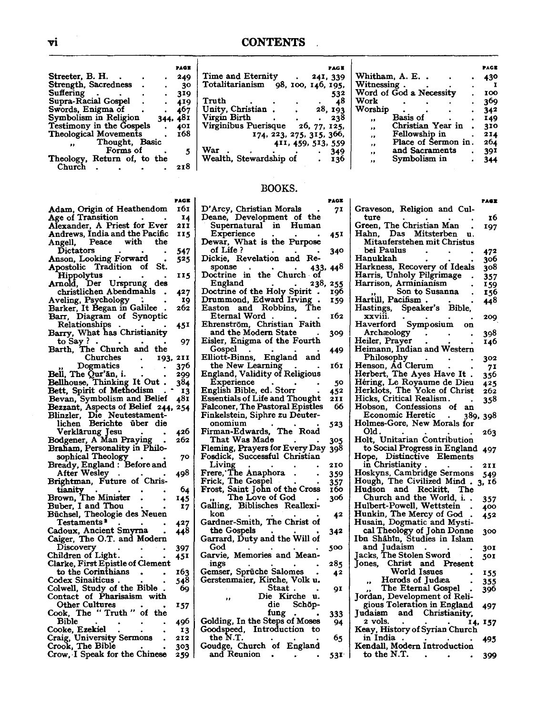$\downarrow$ 

|                                |      | PAGE |
|--------------------------------|------|------|
| Streeter, B. H.                |      | 249  |
| Strength, Sacredness           |      | 30   |
| Suffering                      |      | 319  |
| Supra-Racial Gospel            |      | 419  |
| Swords, Enigma of              |      | 467  |
| Symbolism in Religion          | 344. | 481  |
| Testimony in the Gospels       |      | 401  |
| <b>Theological Movements</b>   |      | 168  |
| Thought, Basic                 |      |      |
| Forms of                       |      | 5    |
| Return of, to the<br>Theology, |      |      |
| Church                         |      | 218  |
|                                |      |      |

|                                                                                                  | PAGE |
|--------------------------------------------------------------------------------------------------|------|
| Adam, Origin of Heathendom<br>Age of Transition .                                                | 161  |
|                                                                                                  | 14   |
| Alexander, A Priest for Ever                                                                     | 211  |
| Andrews, India and the Pacific                                                                   | 115  |
| Peace with<br>the<br>Angell,                                                                     |      |
| <b>Dictators</b>                                                                                 | 547  |
| Anson, Looking Forward                                                                           |      |
| Apostolic Tradition of<br>St.                                                                    | 525  |
|                                                                                                  |      |
| Hippolytus                                                                                       | 115  |
| Arnold, Der Ursprung<br>des                                                                      |      |
| christlichen Abendmahls                                                                          | 427  |
| Aveling, Psychology                                                                              | 19   |
| Barker, It Began in Galilee                                                                      | 262  |
| Barr, Diagram of Synoptic                                                                        |      |
| Relationships                                                                                    | 45I  |
| Barry, What has Christianity                                                                     |      |
| to Say?                                                                                          | 97   |
| The Church and<br>the<br>Barth,                                                                  |      |
| Churches<br>193,                                                                                 | 2I I |
| Dogmatics                                                                                        | 376  |
| Bell, The Qur'an, i.                                                                             | 299  |
| Bellhouse, Thinking It Out                                                                       | 384  |
| Bett, Spirit of Methodism                                                                        | 13   |
| Bevan, Symbolism and Belief                                                                      | 481  |
| Bezzant, Aspects of Belief 244,                                                                  | 254  |
|                                                                                                  |      |
| Blinzler, Die Neutestament-<br>lichen Berichte über die                                          |      |
| Verklärung Jesu                                                                                  | 426  |
| Bodgener, A Man Praying                                                                          | 262  |
| Braham, Personality in Philo-                                                                    |      |
| sophical Theology                                                                                |      |
|                                                                                                  | 70   |
| Bready, England : Before and<br>After Wesley                                                     |      |
|                                                                                                  | 498  |
| Brightman, Future of Chris-                                                                      |      |
| tianity                                                                                          | 64   |
|                                                                                                  | 145  |
| Brown, The Minister<br>Buber, I and Thou                                                         | 17   |
| Büchsel, Theologie des Neuen                                                                     |      |
| Testaments <b>ª</b>                                                                              | 427  |
| Cadoux, Ancient Smyrna                                                                           | 448  |
| Caiger, The O.T. and Modern                                                                      |      |
| Discovery                                                                                        | 397  |
| Children of Light.                                                                               | 45I  |
| Clarke, First Epistle of Clement                                                                 |      |
| to the Corinthians                                                                               | 163  |
| Codex Sinaiticus.                                                                                | 548  |
| Colwell, Study of the Bible                                                                      | 69   |
| Contact of Pharisaism with                                                                       |      |
| <b>Other Cultures</b>                                                                            | 157  |
| The "Truth"<br>of the<br>Cook,                                                                   |      |
| Bible                                                                                            | 496  |
|                                                                                                  | 13   |
| Cooke, Ezekiel<br>Craig, University Sermons<br>Crook, The Bible<br>Crow, I Speak for the Chinese | 212  |
|                                                                                                  | 303  |
|                                                                                                  |      |
|                                                                                                  | 259  |

|                                   |  |                          | PAG E    |
|-----------------------------------|--|--------------------------|----------|
| Time and Eternity                 |  |                          | 241, 339 |
|                                   |  |                          |          |
| Totalitarianism                   |  | 98, 100, 146, 195,       |          |
|                                   |  |                          | 532      |
| Truth                             |  |                          | 48       |
| Unity, Christian.                 |  |                          | 28. 193  |
| Virgin Birth                      |  |                          | 238      |
| Virginibus Puerisque 26, 77, 125, |  |                          |          |
|                                   |  |                          |          |
|                                   |  | 174, 223, 275, 315, 366, |          |
|                                   |  | 411, 459, 513, 559       |          |
| War                               |  |                          | 349      |
| Wealth, Stewardship of            |  |                          | 136      |
|                                   |  |                          |          |

#### BOOKS.

|                                       | PAGE |                                | <b>PAGE</b> |
|---------------------------------------|------|--------------------------------|-------------|
| D'Arcy, Christian Morals              | 71   | Graveson, Religion and Cul-    |             |
| Deane, Development of the             |      | ture                           | 16          |
| Supernatural in<br>Human              |      | Green, The Christian Man       | 197         |
| Experience                            | 45I  | Hahn, Das Mitsterben<br>u.     |             |
| Dewar, What is the Purpose            |      | Mitauferstehen mit Christus    |             |
| of Life ?                             | 340  | bei Paulus                     | 472         |
| Dickie, Revelation and Re-            |      | Hanukkah                       | 306         |
| sponse<br>433, 44 <sup>8</sup>        |      | Harkness, Recovery of Ideals   | 308         |
| Doctrine in the Church of             |      | Harris, Unholy Pilgrimage      | 357         |
| England<br>238, 255                   |      | Harrison, Arminianism          | 159         |
| Doctrine of the Holy Spirit           | 196  | Son to Susanna                 | 156         |
| Drummond, Edward Irving               | 159  | Hartill, Pacifism.             | 448         |
| Easton and Robbins.<br>The            |      | Hastings, Speaker's Bible,     |             |
| . Eternal Word                        | 162  | XXVIII.                        | 200         |
| Ehrenström, Christian Faith           |      | Haverford Symposium<br>on      |             |
| and the Modern State                  | 309  | Archæology                     | 398         |
| Eisler, Enigma of the Fourth          |      | Heiler, Prayer                 | 146         |
| Gospel                                | 449  | Heimann, Indian and Western    |             |
| Elliott-Binns, England<br>and         |      | Philosophy                     | 302         |
| the New Learning                      | 161  | Henson, Ad Clerum              | 71          |
| England, Validity of Religious        |      | Herbert, The Ayes Have It.     | 356         |
| Experience                            | 50   | Héring, Le Royaume de Dieu     | 425         |
| English Bible, ed. Storr              | 452  | Herklots, The Yoke of Christ   | 262         |
| <b>Essentials of Life and Thought</b> | 211  | Hicks, Critical Realism.       | 358         |
| Falconer, The Pastoral Epistles       | 66   | Hobson, Confessions of<br>an   |             |
| Finkelstein, Siphre zu Deuter-        |      | Economic Heretic<br>389, 398   |             |
| onomium                               | 523  | Holmes-Gore, New Morals for    |             |
| The Road<br>Firman-Edwards,           |      | Old.                           | 263         |
| That Was Made                         | 305  | Holt, Unitarian Contribution   |             |
| Fleming, Prayers for Every Day        | 398  | to Social Progress in England  | 497         |
| Fosdick, Successful Christian         |      | Hope, Distinctive Elements     |             |
| Living                                | 210  | in Christianity.               | 21 I        |
| Frere, The Anaphora                   | 359  | Hoskyns, Cambridge Sermons     | 549         |
| Frick, The Gospel                     | 357  | Hough, The Civilized Mind.     | 3, 16       |
| Frost, Saint John of the Cross        | 160  | Hudson and Reckitt,<br>The     |             |
| The Love of God                       | 306  | Church and the World, i.       | 357         |
| Galling, Biblisches Reallexi-         |      | Hulbert-Powell, Wettstein      | 400         |
| kon                                   | 42   | Hunkin, The Mercy of God       | 452         |
| Gardner-Smith, The Christ of          |      | Husain, Dogmatic and Mysti-    |             |
| the Gospels                           | 342  | cal Theology of John Donne     | 300         |
| Garrard, Duty and the Will of         |      | Ibn Shâhîn, Studies in Islam   |             |
| God                                   | 500  | and Judaism                    | 301         |
| Garvie, Memories and Mean-            |      | Jacks, The Stolen Sword        | 501         |
| ings                                  | 285  | Jones, Christ and<br>Present   |             |
| Gemser, Sprüche Salomes               | 42   | <b>World Issues</b>            | 155         |
| Gerstenmaier, Kirche, Volk u.         |      | Herods of Judæa<br>,,          | 355         |
| Staat.                                | qΙ   | The Eternal Gospel             | 396         |
| Die Kirche u.<br>,,                   |      | Jordan, Development of Reli-   |             |
| die<br>Schöp-                         |      | gious Toleration in England    | 497         |
| fung                                  | 333  | Judaism and Christianity,      |             |
| Golding, In the Steps of Moses        | 94   | 2 vols.<br>$\bullet$           | 14, 157     |
| Goodspeed, Introduction<br>to         |      | Keay, History of Syrian Church |             |
| the N.T.                              | 65   | in India                       | 495         |
| Goudge, Church of England             |      | Kendall, Modern Introduction   |             |
| and Reunion<br>$\bullet$              | 53I. | to the N.T.                    | 399         |
|                                       |      |                                |             |

PAGE

430

100

369

 $342$ 

149  $\ddot{\phantom{a}}$ 

310  $\ddot{\phantom{0}}$ 

 $\frac{5}{2}$ 14

 $264$ 

 $39i$ 

344

**PAGE** 

**16** 

197

306  $308$ 

156

209

146

 $\ddot{\phantom{a}}$ 

 $\bullet$ 

 $\mathbf{r}$ 

 $\ddot{\phantom{a}}$ 

 $\ddot{\phantom{0}}$ 

 $\ddot{\phantom{a}}$ 

Whitham, A. E..

Word of God a Necessity

 $\ddot{\phantom{a}}$  $\sim 100$ 

 $\overline{a}$ 

Basis of

Christian Year in

and Sacraments

Symbolism in

Fellowship in :<br>Place of Sermon in.

Witnessing.

Work

Worship

ő,

 $\bullet\bullet$ 

 $\bar{\boldsymbol{H}}$ 

 $\bar{\boldsymbol{\beta}}$ 

 $\mathbf{r}$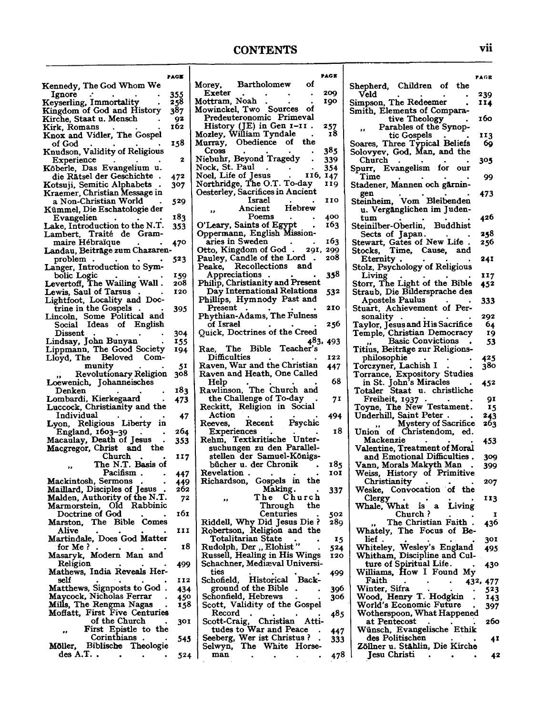#### **CONTENTS**

**PAGB** 

| Kennedy, The God Whom We                     | PAGE | Mc           |
|----------------------------------------------|------|--------------|
| Ignore                                       | 355  |              |
| Keyserling, Immortality                      | 258  | Mc           |
| Kingdom of God and History                   | 387  | Mc           |
| Kirche, Staat u. Mensch                      | 92   |              |
|                                              | 162  |              |
| Kirk, Romans<br>Knox and Vidler, The Gospel  |      | Mo           |
|                                              |      |              |
| of God                                       | 158  | Mι           |
| Knudson, Validity of Religious               |      |              |
| Experience                                   | 2    | Nı           |
| Köberle, Das Evangelium u.                   |      | No           |
| die Rätsel der Geschichte                    | 472  | No           |
| Kotsuji, Semitic Alphabets                   | 307  | No           |
| Kraemer, Christian Message in                |      | Оe           |
| a Non-Christian World                        | 529  |              |
| Kümmel, Die Eschatologie der                 |      |              |
| Evangelien                                   | 183  |              |
| Lake, Introduction to the N.T.               | 353  | $\mathbf{o}$ |
| Lambert, Traité de Gram-                     |      | ο,           |
| maire Hébraïque                              | 470  |              |
| Landau, Beiträge zum Chazaren-               |      | ОI           |
|                                              | 523  | Pε           |
| problem                                      |      | P۱           |
| Langer, Introduction to Symbolic Logic       |      |              |
| The Wailing Wall.                            | 159  |              |
| Levertoff,                                   | 208  | P)           |
| Lewis, Saul of Tarsus                        | 120  |              |
| Lightfoot, Locality and Doc-                 |      | $\mathbf{P}$ |
| trine in the Gospels                         | 395  |              |
| Lincoln, Some Political and                  |      | P            |
| Ideas of English<br>Social                   |      |              |
| Dissent                                      | 304  | Q            |
| Lindsay, John Bunyan                         | 155  |              |
| Lippmann, The Good Society                   | 194  | R            |
| Lloyd, The<br>Beloved Com-                   |      |              |
| munity                                       | 51   | R            |
| Revolutionary Religion<br>,,                 | 308  | $_{\rm R}$   |
| Loewenich, Johanneisches                     |      |              |
| Denken                                       | 183  | R            |
| Lombardi, Kierkegaard                        | 473  |              |
| Luccock, Christianity and the                |      | R            |
| Individual                                   | 47   |              |
| Lyon, Religious Liberty in                   |      | R            |
|                                              | 264  |              |
| England, 1603-39<br>Macaulay, Death of Jesus |      | R            |
|                                              | 353  |              |
| Macgregor, Christ<br>and the                 |      |              |
| Church                                       | 117  |              |
| The N.T. Basis of                            |      |              |
| Pacifism.                                    | 447  | г            |
| Mackintosh, Sermons                          | 449  | Б            |
| Maillard, Disciples of Jesus                 | 262  |              |
| Malden, Authority of the N.T.                | 72   |              |
| Marmorstein, Old Rabbinic                    |      |              |
| Doctrine of God                              | 161  |              |
| Marston, The Bible Comes                     |      | ь            |
| Alive                                        | 111  | г            |
| Martindale, Does God Matter                  |      |              |
| for Me $?$ .                                 | 18   | F            |
| Masaryk, Modern Man and                      |      | F            |
| Religion                                     | 499  | s            |
| Mathews, India Reveals Her-                  |      |              |
| self                                         | 112  | S            |
| Matthews, Signposts to God.                  | 434  |              |
| Maycock, Nicholas Ferrar                     | 450  | S            |
| Mills, The Rengma Nagas                      | 158  | S            |
| Moffatt, First Five Centuries                |      |              |
| of the Church                                | 301  |              |
| First Epistle to the                         |      |              |
| ,,<br>Corinthians                            |      | s            |
| Biblische<br>Theologie<br>Möller,            | 545  | S            |
| des A.T                                      |      |              |
|                                              | 524  |              |

| Morey,                                                          | <b>Bartholomew</b>         |            |                                                                                                   | οf    |            | s |
|-----------------------------------------------------------------|----------------------------|------------|---------------------------------------------------------------------------------------------------|-------|------------|---|
| Exeter<br>Mottram, Noah                                         |                            |            |                                                                                                   |       | 209<br>190 |   |
| Mowinckel, Two                                                  |                            |            | <b>Sources</b>                                                                                    | -of   |            |   |
| Predeuteronomic Primeval                                        |                            |            |                                                                                                   |       |            |   |
| History (JE) in Gen 1-11.<br>Mozley, William Tyndale            |                            |            |                                                                                                   |       | 257<br>18  |   |
| Murray,                                                         | Obedience of               |            |                                                                                                   | the   |            |   |
| Cross                                                           |                            |            |                                                                                                   |       | 385        | s |
| Niebuhr, Beyond Tragedy<br>Nock, St. Paul                       |                            |            |                                                                                                   |       | 339<br>354 | s |
|                                                                 |                            |            | $\frac{1}{2}$ $\frac{1}{2}$ $\frac{1}{2}$ $\frac{1}{2}$ $\frac{1}{2}$ $\frac{1}{2}$ $\frac{1}{2}$ |       | 147        |   |
| Noel, Life of Jesus  II<br>Northridge, The O.T. To-day          |                            |            |                                                                                                   |       | 119        | s |
| Oesterley, Sacrifices in Ancient                                |                            | Israel     |                                                                                                   |       | 110        | ٤ |
|                                                                 | Ancient                    |            | Hebrew                                                                                            |       |            |   |
|                                                                 |                            | Poems      |                                                                                                   |       | 400        |   |
| O'Leary, Saints of Egypt.<br>Oppermann, English Mission-        |                            |            |                                                                                                   |       | 163        | ٤ |
| aries in Sweden                                                 |                            |            |                                                                                                   |       | 163        | í |
| Otto, Kingdom of God . 291,                                     |                            |            |                                                                                                   |       | 299        |   |
| Pauley, Candle of the Lord<br>Peake, Recollections and          |                            |            |                                                                                                   |       | 208        |   |
| Appreciations                                                   |                            | $\bullet$  |                                                                                                   |       | 358        | î |
| Philip, Christianity and Present<br>Day International Relations |                            |            |                                                                                                   |       |            |   |
| Phillips, Hymnody Past and                                      |                            |            |                                                                                                   |       | 532        |   |
| Present                                                         |                            |            |                                                                                                   |       | 210        |   |
| Phythian-Adams, The Fulness                                     |                            |            |                                                                                                   |       |            |   |
| of Israel<br>Quick, Doctrines of the Creed                      |                            |            |                                                                                                   |       | 256        |   |
|                                                                 |                            |            |                                                                                                   | 483,  | 493        |   |
| Rae, The Bible Teacher's                                        |                            |            |                                                                                                   |       |            |   |
| Difficulties                                                    |                            |            |                                                                                                   |       | 122        |   |
| Raven, War and the Christian<br>Raven and Heath, One Called     |                            |            |                                                                                                   |       | 447        |   |
| Help                                                            |                            |            |                                                                                                   |       | - 68       |   |
| Rawlinson, The Church and                                       |                            |            |                                                                                                   |       |            |   |
| Reckitt, Religion in Social                                     | the Challenge of To-day    |            |                                                                                                   |       | 71         |   |
| Action                                                          |                            |            |                                                                                                   |       | 494        |   |
| Reeves,                                                         |                            |            | Recent Psychic                                                                                    |       |            |   |
| Rehm, Textkritische Unter-                                      | Experiences                |            |                                                                                                   |       | 18         |   |
|                                                                 | suchungen zu den Parallel- |            |                                                                                                   |       |            |   |
|                                                                 | stellen der Samuel-Königs- |            |                                                                                                   |       |            |   |
| Revelation                                                      | bücher u. der Chronik      |            |                                                                                                   |       | 185<br>101 |   |
| Richardson, Gospels in the                                      |                            |            |                                                                                                   |       |            |   |
|                                                                 |                            | Making.    |                                                                                                   |       | 337        |   |
|                                                                 |                            | Through    | The Church                                                                                        | the   |            |   |
|                                                                 |                            | Centuries  |                                                                                                   |       | 502        |   |
| Riddell, Why Did Jesus Die?                                     |                            |            |                                                                                                   |       | 289        |   |
| Robertson, Religion and the                                     | Totalitarian State         |            |                                                                                                   |       | 15         |   |
| Rudolph, Der "Elohist"                                          |                            |            |                                                                                                   |       | 524        |   |
| Russell, Healing in His Wings                                   |                            |            |                                                                                                   |       | 120        |   |
| Schachner, Mediæval Universi-<br>ties                           |                            |            |                                                                                                   |       |            |   |
| Schofield.                                                      |                            | Historical |                                                                                                   | Back- | 499        |   |
|                                                                 | ground of the Bible        |            |                                                                                                   |       | 396        |   |
| Schonfield, Hebrews<br>Scott, Validity of the Gospel            |                            |            |                                                                                                   |       | 306        |   |
| Record                                                          |                            |            |                                                                                                   |       | 485        |   |
| Scott-Craig,                                                    |                            | Christian  |                                                                                                   | Atti- |            |   |
|                                                                 | tudes to War and Peace     |            |                                                                                                   |       | 447        |   |
| Seeberg, Wer ist Christus ?<br>Selwyn,                          |                            |            | The White Horse-                                                                                  |       | 333        |   |
| man                                                             |                            |            |                                                                                                   |       | 478        |   |

|                                                                                                | PAGE                       |
|------------------------------------------------------------------------------------------------|----------------------------|
| Shepherd, Children of the                                                                      |                            |
| Veld                                                                                           | 239<br>114                 |
| Simpson, The Redeemer<br>Smith, Elements of Compara-                                           |                            |
| tive Theology<br>Parables of the Synop-                                                        | 160                        |
| tic Gospels                                                                                    | 113                        |
| Soares, Three Typical Beliefs<br>Solovyev, God, Man, and the                                   | 69                         |
| Church                                                                                         |                            |
| Spurr, Evangelism for our                                                                      | 305                        |
| Time                                                                                           | 99                         |
| Stadener, Mannen och gärnin-<br>gen                                                            | 473                        |
| Steinheim, Vom Bleibenden                                                                      |                            |
| u. Vergänglichen im Juden-<br>tum                                                              | 426                        |
| Steinilber-Oberlin, Buddhist                                                                   |                            |
| Sects of Japan.                                                                                | 258                        |
| Stewart, Gates of New Life<br>Stocks, Time, Cause, an<br>Time, Cause, and                      | 256                        |
| Eternity                                                                                       | 241                        |
| Stolz, Psychology of Religious                                                                 |                            |
| Living<br>Storr, The Light of the Bible                                                        | 117<br>452                 |
| Straub, Die Bildersprache des                                                                  |                            |
| <b>Apostels Paulus</b><br>Stuart, Achievement of Per-                                          | 333                        |
| sonality<br>$\bullet$                                                                          | 292                        |
| Taylor, Jesus and His Sacrifice                                                                | 64                         |
| Temple, Christian Democracy<br>,, Basic Convictions                                            | 19<br>53                   |
| ,,<br>Titius, Beiträge zur Religions-                                                          |                            |
| philosophie<br>۰                                                                               | 425                        |
| Torczyner, Lachish I<br>Torrance, Expository Studies                                           | 380                        |
| in St. John's Miracles                                                                         | 452                        |
| Staat u. christliche<br>Totaler                                                                |                            |
| Freiheit, 1937<br>Toyne, The New Testament.                                                    | 91<br>15                   |
| Underhill, Saint Peter.                                                                        | 243                        |
| Mystery of Sacrifice<br>Union of Christendom, ed.                                              | 263                        |
| Mackenzie                                                                                      | 453                        |
| Valentine, Treatment of Moral                                                                  |                            |
| and Emotional Difficulties.<br>Vann, Morals Makyth Man                                         | 309<br>399                 |
| Weiss, History of Primitive                                                                    |                            |
| Christianity<br>Weske, Convocation of the                                                      | 207                        |
| Clergy                                                                                         | 113                        |
| What is a<br>Living<br>Whale,                                                                  |                            |
| Church ?<br>The Christian Faith.                                                               | 1<br>436                   |
| Whately, The Focus of Be-                                                                      |                            |
| lief .                                                                                         | 301                        |
| lef .<br>Whiteley, Wesley's England<br>Whitham, Discipline and Cul-<br>ture of Spiritual Life. | 495                        |
|                                                                                                | 430                        |
| Williams, How I Found My<br>Faith                                                              |                            |
| Minter, Sifra<br>Wood, Henry T. Hodgkin                                                        | 432, 477<br>523            |
|                                                                                                | 143                        |
| World's Economic Future<br>Wotherspoon, What Happened                                          | 397                        |
| at Pentecost                                                                                   | 260                        |
| Wünsch, Evangelische Ethik                                                                     |                            |
| des Politischen<br>Zöllner u. Stählin, Die Kirche                                              | 41                         |
| Jesu Christi                                                                                   | 42<br>$\ddot{\phantom{0}}$ |